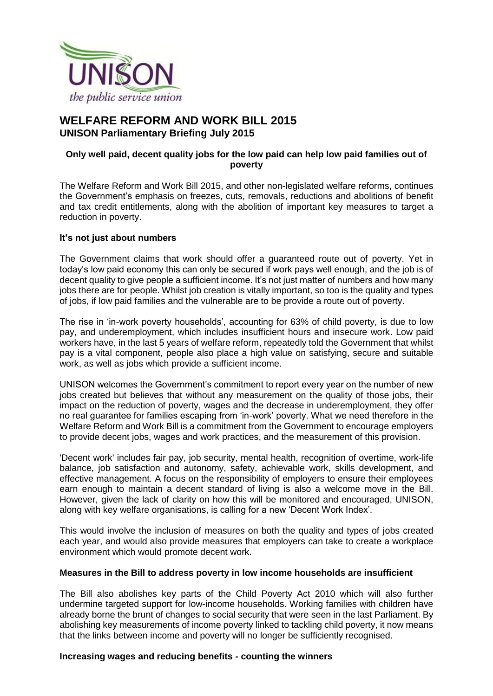

# **WELFARE REFORM AND WORK BILL 2015 UNISON Parliamentary Briefing July 2015**

## **Only well paid, decent quality jobs for the low paid can help low paid families out of poverty**

The Welfare Reform and Work Bill 2015, and other non-legislated welfare reforms, continues the Government's emphasis on freezes, cuts, removals, reductions and abolitions of benefit and tax credit entitlements, along with the abolition of important key measures to target a reduction in poverty.

### **It's not just about numbers**

The Government claims that work should offer a guaranteed route out of poverty. Yet in today's low paid economy this can only be secured if work pays well enough, and the job is of decent quality to give people a sufficient income. It's not just matter of numbers and how many jobs there are for people. Whilst job creation is vitally important, so too is the quality and types of jobs, if low paid families and the vulnerable are to be provide a route out of poverty.

The rise in 'in-work poverty households', accounting for 63% of child poverty, is due to low pay, and underemployment, which includes insufficient hours and insecure work. Low paid workers have, in the last 5 years of welfare reform, repeatedly told the Government that whilst pay is a vital component, people also place a high value on satisfying, secure and suitable work, as well as jobs which provide a sufficient income.

UNISON welcomes the Government's commitment to report every year on the number of new jobs created but believes that without any measurement on the quality of those jobs, their impact on the reduction of poverty, wages and the decrease in underemployment, they offer no real guarantee for families escaping from 'in-work' poverty. What we need therefore in the Welfare Reform and Work Bill is a commitment from the Government to encourage employers to provide decent jobs, wages and work practices, and the measurement of this provision.

'Decent work' includes fair pay, job security, mental health, recognition of overtime, work-life balance, job satisfaction and autonomy, safety, achievable work, skills development, and effective management. A focus on the responsibility of employers to ensure their employees earn enough to maintain a decent standard of living is also a welcome move in the Bill. However, given the lack of clarity on how this will be monitored and encouraged, UNISON, along with key welfare organisations, is calling for a new 'Decent Work Index'.

This would involve the inclusion of measures on both the quality and types of jobs created each year, and would also provide measures that employers can take to create a workplace environment which would promote decent work.

### **Measures in the Bill to address poverty in low income households are insufficient**

The Bill also abolishes key parts of the Child Poverty Act 2010 which will also further undermine targeted support for low-income households. Working families with children have already borne the brunt of changes to social security that were seen in the last Parliament. By abolishing key measurements of income poverty linked to tackling child poverty, it now means that the links between income and poverty will no longer be sufficiently recognised.

### **Increasing wages and reducing benefits - counting the winners**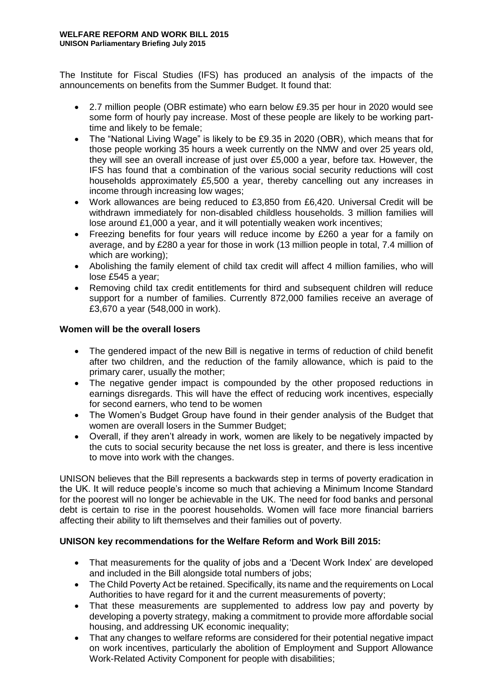The Institute for Fiscal Studies (IFS) has produced an analysis of the impacts of the announcements on benefits from the Summer Budget. It found that:

- 2.7 million people (OBR estimate) who earn below £9.35 per hour in 2020 would see some form of hourly pay increase. Most of these people are likely to be working parttime and likely to be female;
- The "National Living Wage" is likely to be £9.35 in 2020 (OBR), which means that for those people working 35 hours a week currently on the NMW and over 25 years old, they will see an overall increase of just over £5,000 a year, before tax. However, the IFS has found that a combination of the various social security reductions will cost households approximately £5,500 a year, thereby cancelling out any increases in income through increasing low wages;
- Work allowances are being reduced to £3,850 from £6,420. Universal Credit will be withdrawn immediately for non-disabled childless households. 3 million families will lose around £1,000 a year, and it will potentially weaken work incentives;
- Freezing benefits for four years will reduce income by £260 a year for a family on average, and by £280 a year for those in work (13 million people in total, 7.4 million of which are working);
- Abolishing the family element of child tax credit will affect 4 million families, who will lose £545 a year;
- Removing child tax credit entitlements for third and subsequent children will reduce support for a number of families. Currently 872,000 families receive an average of £3,670 a year (548,000 in work).

### **Women will be the overall losers**

- The gendered impact of the new Bill is negative in terms of reduction of child benefit after two children, and the reduction of the family allowance, which is paid to the primary carer, usually the mother;
- The negative gender impact is compounded by the other proposed reductions in earnings disregards. This will have the effect of reducing work incentives, especially for second earners, who tend to be women
- The Women's Budget Group have found in their gender analysis of the Budget that women are overall losers in the Summer Budget;
- Overall, if they aren't already in work, women are likely to be negatively impacted by the cuts to social security because the net loss is greater, and there is less incentive to move into work with the changes.

UNISON believes that the Bill represents a backwards step in terms of poverty eradication in the UK. It will reduce people's income so much that achieving a Minimum Income Standard for the poorest will no longer be achievable in the UK. The need for food banks and personal debt is certain to rise in the poorest households. Women will face more financial barriers affecting their ability to lift themselves and their families out of poverty.

### **UNISON key recommendations for the Welfare Reform and Work Bill 2015:**

- That measurements for the quality of jobs and a 'Decent Work Index' are developed and included in the Bill alongside total numbers of jobs;
- The Child Poverty Act be retained. Specifically, its name and the requirements on Local Authorities to have regard for it and the current measurements of poverty;
- That these measurements are supplemented to address low pay and poverty by developing a poverty strategy, making a commitment to provide more affordable social housing, and addressing UK economic inequality;
- That any changes to welfare reforms are considered for their potential negative impact on work incentives, particularly the abolition of Employment and Support Allowance Work-Related Activity Component for people with disabilities;